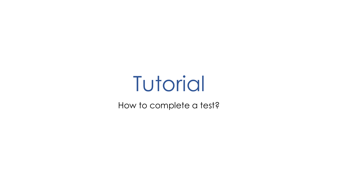# **Tutorial**

How to complete a test?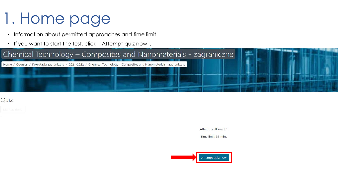# 1. Home page

- Information about permitted approaches and time limit.
- If you want to start the test, click: "Attempt quiz now".



#### Quiz

Attempts allowed: 1

Time limit: 35 mins

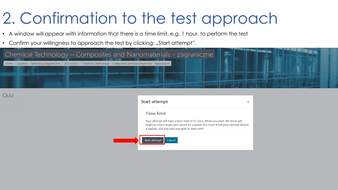## 2. Confirmation to the test approach

- A window will appear with information that there is a time limit, e.g. 1 hour, to perform the test
- Confirm your willingness to approach the test by clicking: "Start attempt".



Quiz

| Your attempt will have a time limit of 35 mins. When you start, the timer will                                                   |  |
|----------------------------------------------------------------------------------------------------------------------------------|--|
|                                                                                                                                  |  |
| begin to count down and cannot be paused. You must finish your attempt before<br>it expires. Are you sure you wish to start now? |  |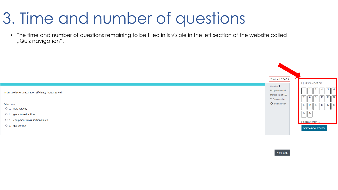#### 3. Time and number of questions

• The time and number of questions remaining to be filled in is visible in the left section of the website called "Quiz navigation".



Next page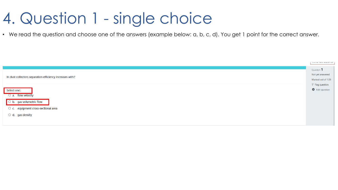#### 4. Question 1 - single choice

• We read the question and choose one of the answers (example below: a, b, c, d). You get 1 point for the correct answer.

| In dust collectors separation efficiency increases with?<br>Select one:<br>$\circ$ a. flow velocity<br>$\Box$ b. gas volumetric flow | Question 1<br>Not yet answered<br>Marked out of 1.00<br>$\mathbb F$ Flag question<br>₩ Edit question |
|--------------------------------------------------------------------------------------------------------------------------------------|------------------------------------------------------------------------------------------------------|
| O c. equipment cross-sectional area                                                                                                  |                                                                                                      |
| $\circ$ d. gas density                                                                                                               |                                                                                                      |
|                                                                                                                                      |                                                                                                      |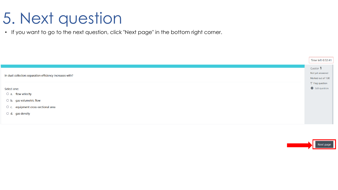# 5. Next question

• If you want to go to the next question, click "Next page" in the bottom right corner.

|                                                                                                 | Time left 0:32:41                                    |
|-------------------------------------------------------------------------------------------------|------------------------------------------------------|
| In dust collectors separation efficiency increases with?                                        | Question 1<br>Not yet answered<br>Marked out of 1.00 |
| Select one:<br>$\circ$ a. flow velocity                                                         | $\mathbb F$ Flag question<br><b>♦</b> Edit question  |
| $\circ$ b. gas volumetric flow<br>O c. equipment cross-sectional area<br>$\circ$ d. gas density |                                                      |
|                                                                                                 |                                                      |

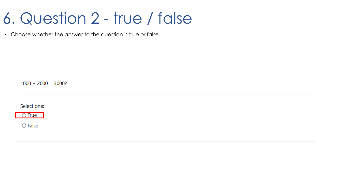#### 6. Question 2 - true / false

• Choose whether the answer to the question is true or false.

 $1000 + 2000 = 3000?$ 

Select one:



 $\bigcirc$  False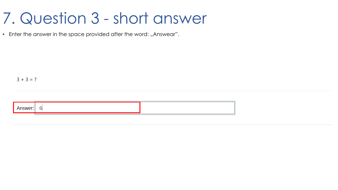#### 7. Question 3 - short answer

• Enter the answer in the space provided after the word: "Answear".

 $3 + 3 = ?$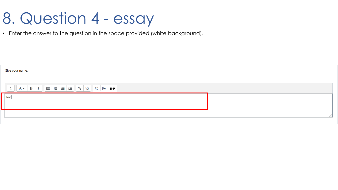#### 8. Question 4 - essay

• Enter the answer to the question in the space provided (white background).

| Give your name:  |  |
|------------------|--|
|                  |  |
| $\parallel$ Text |  |
|                  |  |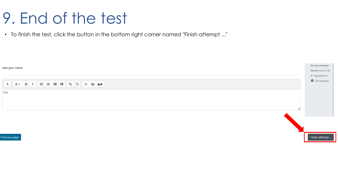#### 9. End of the test

• To finish the test, click the button in the bottom right corner named "Finish attempt ..."

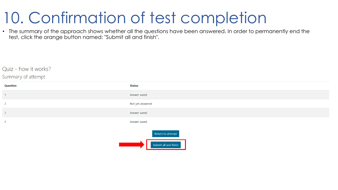#### 10. Confirmation of test completion

• The summary of the approach shows whether all the questions have been answered. In order to permanently end the test, click the orange button named: "Submit all and finish".

#### Quiz - how it works?

#### Summary of attempt

| <b>Question</b> | <b>Status</b>                                            |
|-----------------|----------------------------------------------------------|
| $\overline{1}$  | Answer saved                                             |
| $\overline{2}$  | Not yet answered                                         |
| $\overline{3}$  | Answer saved                                             |
| $\overline{4}$  | Answer saved                                             |
|                 | Return to attempt<br>the contract of the contract of the |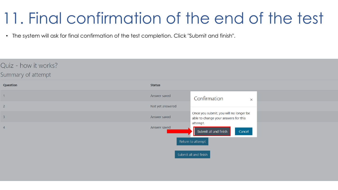#### 11. Final confirmation of the end of the test

• The system will ask for final confirmation of the test completion. Click "Submit and finish".

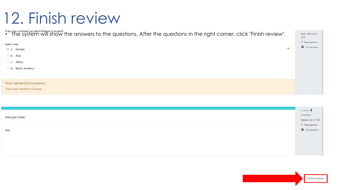#### 12. Finish review

| Enter the continent on which Poland is located:<br>• The system will show the answers to the questions. After the questions in the right corner, click "Finish review". |                                             |
|-------------------------------------------------------------------------------------------------------------------------------------------------------------------------|---------------------------------------------|
| Select one:<br>✔<br>a. Europa                                                                                                                                           | $P$ Flag question<br><b>C</b> Edit question |
| ○ b. Asia                                                                                                                                                               |                                             |
| Africa<br>$\circ$ c.                                                                                                                                                    |                                             |
| <b>North America</b><br>$\circ$ d.                                                                                                                                      |                                             |
| Twoja odpowiedź jest poprawna.<br>The correct answer is: Europa                                                                                                         |                                             |

| Give your name: | Question 4<br>Marked out of 1.00                           |
|-----------------|------------------------------------------------------------|
| Text            | $\triangledown$ Flag question<br>$\bigoplus$ Edit question |
|                 |                                                            |